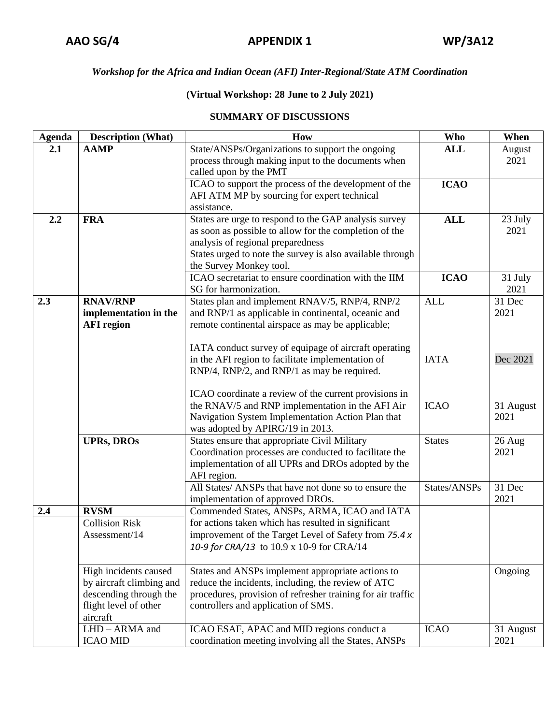## *Workshop for the Africa and Indian Ocean (AFI) Inter-Regional/State ATM Coordination*

## **(Virtual Workshop: 28 June to 2 July 2021)**

## **SUMMARY OF DISCUSSIONS**

| <b>Agenda</b> | <b>Description (What)</b> | How                                                                                                        | <b>Who</b>    | When      |
|---------------|---------------------------|------------------------------------------------------------------------------------------------------------|---------------|-----------|
| 2.1           | <b>AAMP</b>               | State/ANSPs/Organizations to support the ongoing                                                           | <b>ALL</b>    | August    |
|               |                           | process through making input to the documents when                                                         |               | 2021      |
|               |                           | called upon by the PMT                                                                                     |               |           |
|               |                           | ICAO to support the process of the development of the                                                      | <b>ICAO</b>   |           |
|               |                           | AFI ATM MP by sourcing for expert technical                                                                |               |           |
|               |                           | assistance.                                                                                                |               |           |
| 2.2           | <b>FRA</b>                | States are urge to respond to the GAP analysis survey                                                      | <b>ALL</b>    | 23 July   |
|               |                           | as soon as possible to allow for the completion of the                                                     |               | 2021      |
|               |                           | analysis of regional preparedness                                                                          |               |           |
|               |                           | States urged to note the survey is also available through                                                  |               |           |
|               |                           | the Survey Monkey tool.                                                                                    |               |           |
|               |                           | ICAO secretariat to ensure coordination with the IIM                                                       | <b>ICAO</b>   | 31 July   |
|               |                           | SG for harmonization.                                                                                      |               | 2021      |
| 2.3           | <b>RNAV/RNP</b>           | States plan and implement RNAV/5, RNP/4, RNP/2                                                             | <b>ALL</b>    | 31 Dec    |
|               | implementation in the     | and RNP/1 as applicable in continental, oceanic and                                                        |               | 2021      |
|               | <b>AFI</b> region         | remote continental airspace as may be applicable;                                                          |               |           |
|               |                           |                                                                                                            |               |           |
|               |                           | IATA conduct survey of equipage of aircraft operating<br>in the AFI region to facilitate implementation of | <b>IATA</b>   | Dec 2021  |
|               |                           | RNP/4, RNP/2, and RNP/1 as may be required.                                                                |               |           |
|               |                           |                                                                                                            |               |           |
|               |                           | ICAO coordinate a review of the current provisions in                                                      |               |           |
|               |                           | the RNAV/5 and RNP implementation in the AFI Air                                                           | <b>ICAO</b>   | 31 August |
|               |                           | Navigation System Implementation Action Plan that                                                          |               | 2021      |
|               |                           | was adopted by APIRG/19 in 2013.                                                                           |               |           |
|               | <b>UPRs, DROs</b>         | States ensure that appropriate Civil Military                                                              | <b>States</b> | 26 Aug    |
|               |                           | Coordination processes are conducted to facilitate the                                                     |               | 2021      |
|               |                           | implementation of all UPRs and DROs adopted by the                                                         |               |           |
|               |                           | AFI region.                                                                                                |               |           |
|               |                           | All States/ ANSPs that have not done so to ensure the                                                      | States/ANSPs  | 31 Dec    |
|               |                           | implementation of approved DROs.                                                                           |               | 2021      |
| 2.4           | <b>RVSM</b>               | Commended States, ANSPs, ARMA, ICAO and IATA                                                               |               |           |
|               | <b>Collision Risk</b>     | for actions taken which has resulted in significant                                                        |               |           |
|               | Assessment/14             | improvement of the Target Level of Safety from 75.4 x                                                      |               |           |
|               |                           | 10-9 for CRA/13 to 10.9 x 10-9 for CRA/14                                                                  |               |           |
|               |                           |                                                                                                            |               |           |
|               | High incidents caused     | States and ANSPs implement appropriate actions to                                                          |               | Ongoing   |
|               | by aircraft climbing and  | reduce the incidents, including, the review of ATC                                                         |               |           |
|               | descending through the    | procedures, provision of refresher training for air traffic                                                |               |           |
|               | flight level of other     | controllers and application of SMS.                                                                        |               |           |
|               | aircraft                  |                                                                                                            |               |           |
|               | LHD - ARMA and            | ICAO ESAF, APAC and MID regions conduct a                                                                  | <b>ICAO</b>   | 31 August |
|               | <b>ICAO MID</b>           | coordination meeting involving all the States, ANSPs                                                       |               | 2021      |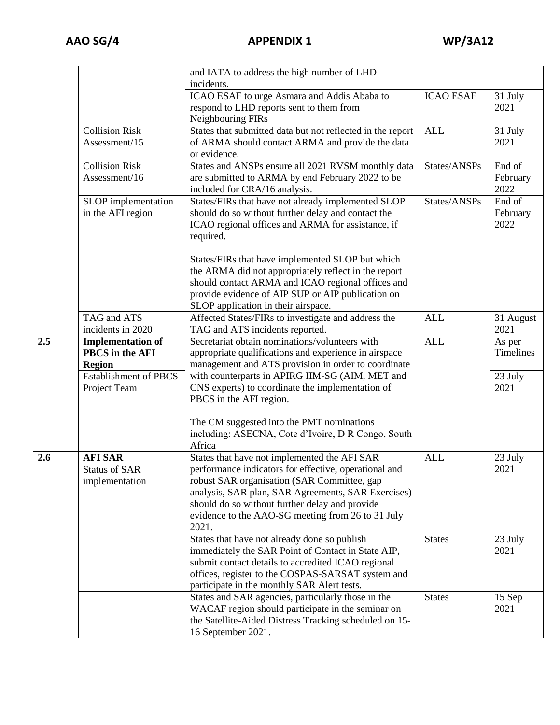|     |                              | and IATA to address the high number of LHD                 |                  |                      |
|-----|------------------------------|------------------------------------------------------------|------------------|----------------------|
|     |                              | incidents.                                                 |                  |                      |
|     |                              | ICAO ESAF to urge Asmara and Addis Ababa to                | <b>ICAO ESAF</b> | 31 July              |
|     |                              | respond to LHD reports sent to them from                   |                  | 2021                 |
|     |                              | Neighbouring FIRs                                          |                  |                      |
|     | <b>Collision Risk</b>        | States that submitted data but not reflected in the report | <b>ALL</b>       | 31 July              |
|     | Assessment/15                | of ARMA should contact ARMA and provide the data           |                  | 2021                 |
|     |                              | or evidence.                                               |                  |                      |
|     | <b>Collision Risk</b>        | States and ANSPs ensure all 2021 RVSM monthly data         | States/ANSPs     | End of               |
|     | Assessment/16                | are submitted to ARMA by end February 2022 to be           |                  | February             |
|     |                              | included for CRA/16 analysis.                              |                  | 2022                 |
|     | SLOP implementation          | States/FIRs that have not already implemented SLOP         | States/ANSPs     | End of               |
|     | in the AFI region            | should do so without further delay and contact the         |                  | February             |
|     |                              | ICAO regional offices and ARMA for assistance, if          |                  | 2022                 |
|     |                              | required.                                                  |                  |                      |
|     |                              |                                                            |                  |                      |
|     |                              | States/FIRs that have implemented SLOP but which           |                  |                      |
|     |                              | the ARMA did not appropriately reflect in the report       |                  |                      |
|     |                              | should contact ARMA and ICAO regional offices and          |                  |                      |
|     |                              | provide evidence of AIP SUP or AIP publication on          |                  |                      |
|     |                              | SLOP application in their airspace.                        |                  |                      |
|     | TAG and ATS                  | Affected States/FIRs to investigate and address the        | <b>ALL</b>       | 31 August            |
|     | incidents in 2020            | TAG and ATS incidents reported.                            |                  | 2021                 |
| 2.5 | <b>Implementation of</b>     | Secretariat obtain nominations/volunteers with             | <b>ALL</b>       | As per               |
|     | PBCS in the AFI              | appropriate qualifications and experience in airspace      |                  | Timelines            |
|     | <b>Region</b>                | management and ATS provision in order to coordinate        |                  |                      |
|     | <b>Establishment of PBCS</b> | with counterparts in APIRG IIM-SG (AIM, MET and            |                  | $\overline{2}3$ July |
|     | Project Team                 | CNS experts) to coordinate the implementation of           |                  | 2021                 |
|     |                              | PBCS in the AFI region.                                    |                  |                      |
|     |                              | The CM suggested into the PMT nominations                  |                  |                      |
|     |                              | including: ASECNA, Cote d'Ivoire, D R Congo, South         |                  |                      |
|     |                              | Africa                                                     |                  |                      |
| 2.6 | <b>AFI SAR</b>               | States that have not implemented the AFI SAR               | <b>ALL</b>       | 23 July              |
|     | <b>Status of SAR</b>         | performance indicators for effective, operational and      |                  | 2021                 |
|     | implementation               | robust SAR organisation (SAR Committee, gap                |                  |                      |
|     |                              | analysis, SAR plan, SAR Agreements, SAR Exercises)         |                  |                      |
|     |                              | should do so without further delay and provide             |                  |                      |
|     |                              | evidence to the AAO-SG meeting from 26 to 31 July          |                  |                      |
|     |                              | 2021.                                                      |                  |                      |
|     |                              | States that have not already done so publish               | <b>States</b>    | 23 July              |
|     |                              | immediately the SAR Point of Contact in State AIP,         |                  | 2021                 |
|     |                              | submit contact details to accredited ICAO regional         |                  |                      |
|     |                              | offices, register to the COSPAS-SARSAT system and          |                  |                      |
|     |                              | participate in the monthly SAR Alert tests.                |                  |                      |
|     |                              | States and SAR agencies, particularly those in the         | <b>States</b>    | 15 Sep               |
|     |                              | WACAF region should participate in the seminar on          |                  | 2021                 |
|     |                              | the Satellite-Aided Distress Tracking scheduled on 15-     |                  |                      |
|     |                              | 16 September 2021.                                         |                  |                      |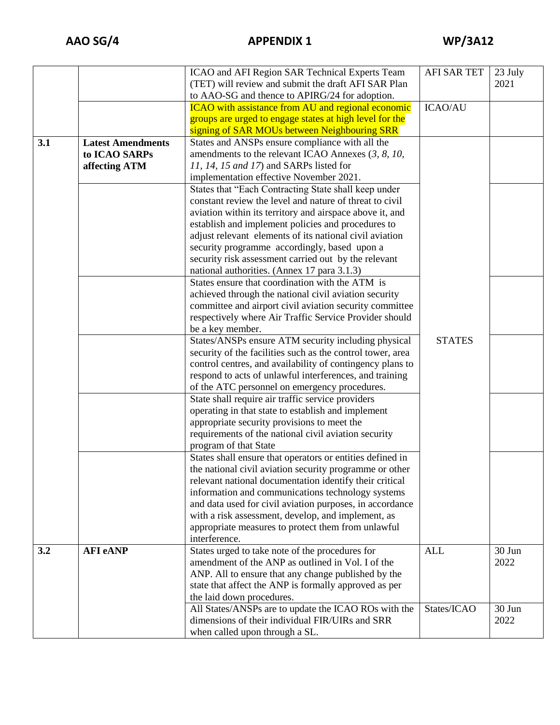|     |                          | ICAO and AFI Region SAR Technical Experts Team             | <b>AFI SAR TET</b> | 23 July |
|-----|--------------------------|------------------------------------------------------------|--------------------|---------|
|     |                          | (TET) will review and submit the draft AFI SAR Plan        |                    | 2021    |
|     |                          | to AAO-SG and thence to APIRG/24 for adoption.             |                    |         |
|     |                          | <b>ICAO</b> with assistance from AU and regional economic  | <b>ICAO/AU</b>     |         |
|     |                          | groups are urged to engage states at high level for the    |                    |         |
|     |                          | signing of SAR MOUs between Neighbouring SRR               |                    |         |
| 3.1 | <b>Latest Amendments</b> | States and ANSPs ensure compliance with all the            |                    |         |
|     | to ICAO SARPs            | amendments to the relevant ICAO Annexes (3, 8, 10,         |                    |         |
|     | affecting ATM            | 11, 14, 15 and 17) and SARPs listed for                    |                    |         |
|     |                          | implementation effective November 2021.                    |                    |         |
|     |                          | States that "Each Contracting State shall keep under       |                    |         |
|     |                          | constant review the level and nature of threat to civil    |                    |         |
|     |                          | aviation within its territory and airspace above it, and   |                    |         |
|     |                          | establish and implement policies and procedures to         |                    |         |
|     |                          | adjust relevant elements of its national civil aviation    |                    |         |
|     |                          | security programme accordingly, based upon a               |                    |         |
|     |                          | security risk assessment carried out by the relevant       |                    |         |
|     |                          | national authorities. (Annex 17 para 3.1.3)                |                    |         |
|     |                          | States ensure that coordination with the ATM is            |                    |         |
|     |                          | achieved through the national civil aviation security      |                    |         |
|     |                          | committee and airport civil aviation security committee    |                    |         |
|     |                          | respectively where Air Traffic Service Provider should     |                    |         |
|     |                          | be a key member.                                           |                    |         |
|     |                          | States/ANSPs ensure ATM security including physical        | <b>STATES</b>      |         |
|     |                          | security of the facilities such as the control tower, area |                    |         |
|     |                          | control centres, and availability of contingency plans to  |                    |         |
|     |                          | respond to acts of unlawful interferences, and training    |                    |         |
|     |                          | of the ATC personnel on emergency procedures.              |                    |         |
|     |                          | State shall require air traffic service providers          |                    |         |
|     |                          | operating in that state to establish and implement         |                    |         |
|     |                          | appropriate security provisions to meet the                |                    |         |
|     |                          | requirements of the national civil aviation security       |                    |         |
|     |                          | program of that State                                      |                    |         |
|     |                          | States shall ensure that operators or entities defined in  |                    |         |
|     |                          | the national civil aviation security programme or other    |                    |         |
|     |                          | relevant national documentation identify their critical    |                    |         |
|     |                          | information and communications technology systems          |                    |         |
|     |                          | and data used for civil aviation purposes, in accordance   |                    |         |
|     |                          | with a risk assessment, develop, and implement, as         |                    |         |
|     |                          | appropriate measures to protect them from unlawful         |                    |         |
|     |                          | interference.                                              |                    |         |
| 3.2 | <b>AFI</b> eANP          | States urged to take note of the procedures for            | <b>ALL</b>         | 30 Jun  |
|     |                          | amendment of the ANP as outlined in Vol. I of the          |                    | 2022    |
|     |                          | ANP. All to ensure that any change published by the        |                    |         |
|     |                          | state that affect the ANP is formally approved as per      |                    |         |
|     |                          | the laid down procedures.                                  |                    |         |
|     |                          | All States/ANSPs are to update the ICAO ROs with the       | States/ICAO        | 30 Jun  |
|     |                          | dimensions of their individual FIR/UIRs and SRR            |                    | 2022    |
|     |                          | when called upon through a SL.                             |                    |         |